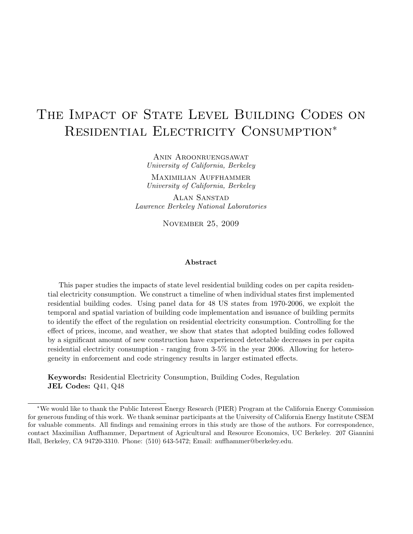# THE IMPACT OF STATE LEVEL BUILDING CODES ON RESIDENTIAL ELECTRICITY CONSUMPTION<sup>\*</sup>

Anin Aroonruengsawat University of California, Berkeley

Maximilian Auffhammer University of California, Berkeley

Alan Sanstad Lawrence Berkeley National Laboratories

November 25, 2009

#### Abstract

This paper studies the impacts of state level residential building codes on per capita residential electricity consumption. We construct a timeline of when individual states first implemented residential building codes. Using panel data for 48 US states from 1970-2006, we exploit the temporal and spatial variation of building code implementation and issuance of building permits to identify the effect of the regulation on residential electricity consumption. Controlling for the effect of prices, income, and weather, we show that states that adopted building codes followed by a significant amount of new construction have experienced detectable decreases in per capita residential electricity consumption - ranging from 3-5% in the year 2006. Allowing for heterogeneity in enforcement and code stringency results in larger estimated effects.

Keywords: Residential Electricity Consumption, Building Codes, Regulation JEL Codes: Q41, Q48

<sup>∗</sup>We would like to thank the Public Interest Energy Research (PIER) Program at the California Energy Commission for generous funding of this work. We thank seminar participants at the University of California Energy Institute CSEM for valuable comments. All findings and remaining errors in this study are those of the authors. For correspondence, contact Maximilian Auffhammer, Department of Agricultural and Resource Economics, UC Berkeley. 207 Giannini Hall, Berkeley, CA 94720-3310. Phone: (510) 643-5472; Email: auffhammer@berkeley.edu.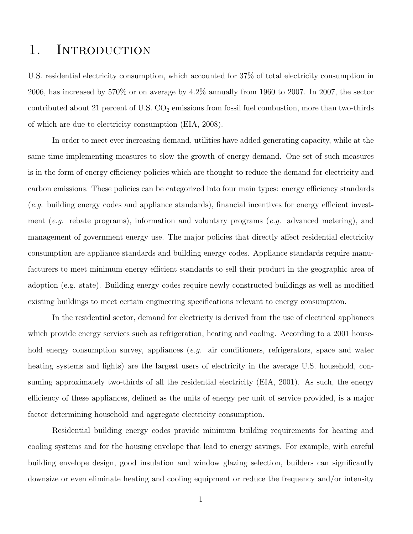## 1. INTRODUCTION

U.S. residential electricity consumption, which accounted for 37% of total electricity consumption in 2006, has increased by 570% or on average by 4.2% annually from 1960 to 2007. In 2007, the sector contributed about 21 percent of U.S.  $CO<sub>2</sub>$  emissions from fossil fuel combustion, more than two-thirds of which are due to electricity consumption (EIA, 2008).

In order to meet ever increasing demand, utilities have added generating capacity, while at the same time implementing measures to slow the growth of energy demand. One set of such measures is in the form of energy efficiency policies which are thought to reduce the demand for electricity and carbon emissions. These policies can be categorized into four main types: energy efficiency standards (e.g. building energy codes and appliance standards), financial incentives for energy efficient investment (e.g. rebate programs), information and voluntary programs (e.g. advanced metering), and management of government energy use. The major policies that directly affect residential electricity consumption are appliance standards and building energy codes. Appliance standards require manufacturers to meet minimum energy efficient standards to sell their product in the geographic area of adoption (e.g. state). Building energy codes require newly constructed buildings as well as modified existing buildings to meet certain engineering specifications relevant to energy consumption.

In the residential sector, demand for electricity is derived from the use of electrical appliances which provide energy services such as refrigeration, heating and cooling. According to a 2001 household energy consumption survey, appliances (*e.g.* air conditioners, refrigerators, space and water heating systems and lights) are the largest users of electricity in the average U.S. household, consuming approximately two-thirds of all the residential electricity (EIA, 2001). As such, the energy efficiency of these appliances, defined as the units of energy per unit of service provided, is a major factor determining household and aggregate electricity consumption.

Residential building energy codes provide minimum building requirements for heating and cooling systems and for the housing envelope that lead to energy savings. For example, with careful building envelope design, good insulation and window glazing selection, builders can significantly downsize or even eliminate heating and cooling equipment or reduce the frequency and/or intensity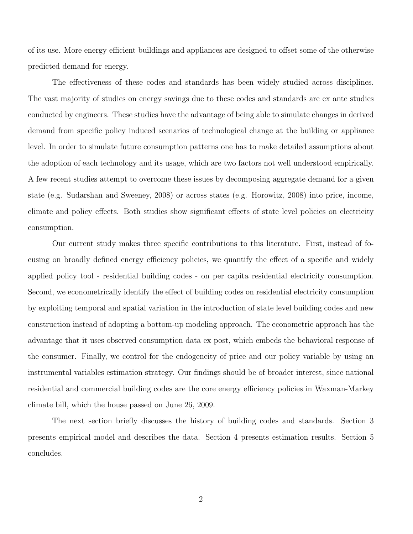of its use. More energy efficient buildings and appliances are designed to offset some of the otherwise predicted demand for energy.

The effectiveness of these codes and standards has been widely studied across disciplines. The vast majority of studies on energy savings due to these codes and standards are ex ante studies conducted by engineers. These studies have the advantage of being able to simulate changes in derived demand from specific policy induced scenarios of technological change at the building or appliance level. In order to simulate future consumption patterns one has to make detailed assumptions about the adoption of each technology and its usage, which are two factors not well understood empirically. A few recent studies attempt to overcome these issues by decomposing aggregate demand for a given state (e.g. Sudarshan and Sweeney, 2008) or across states (e.g. Horowitz, 2008) into price, income, climate and policy effects. Both studies show significant effects of state level policies on electricity consumption.

Our current study makes three specific contributions to this literature. First, instead of focusing on broadly defined energy efficiency policies, we quantify the effect of a specific and widely applied policy tool - residential building codes - on per capita residential electricity consumption. Second, we econometrically identify the effect of building codes on residential electricity consumption by exploiting temporal and spatial variation in the introduction of state level building codes and new construction instead of adopting a bottom-up modeling approach. The econometric approach has the advantage that it uses observed consumption data ex post, which embeds the behavioral response of the consumer. Finally, we control for the endogeneity of price and our policy variable by using an instrumental variables estimation strategy. Our findings should be of broader interest, since national residential and commercial building codes are the core energy efficiency policies in Waxman-Markey climate bill, which the house passed on June 26, 2009.

The next section briefly discusses the history of building codes and standards. Section 3 presents empirical model and describes the data. Section 4 presents estimation results. Section 5 concludes.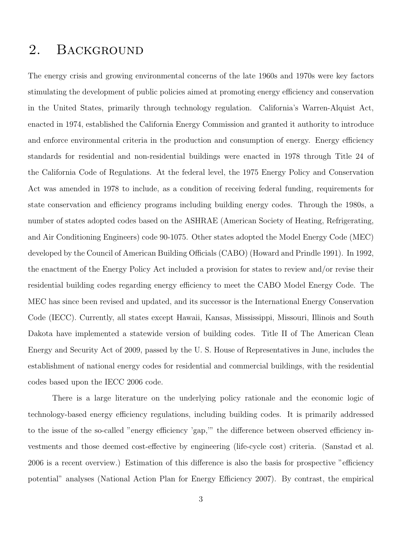## 2. BACKGROUND

The energy crisis and growing environmental concerns of the late 1960s and 1970s were key factors stimulating the development of public policies aimed at promoting energy efficiency and conservation in the United States, primarily through technology regulation. California's Warren-Alquist Act, enacted in 1974, established the California Energy Commission and granted it authority to introduce and enforce environmental criteria in the production and consumption of energy. Energy efficiency standards for residential and non-residential buildings were enacted in 1978 through Title 24 of the California Code of Regulations. At the federal level, the 1975 Energy Policy and Conservation Act was amended in 1978 to include, as a condition of receiving federal funding, requirements for state conservation and efficiency programs including building energy codes. Through the 1980s, a number of states adopted codes based on the ASHRAE (American Society of Heating, Refrigerating, and Air Conditioning Engineers) code 90-1075. Other states adopted the Model Energy Code (MEC) developed by the Council of American Building Officials (CABO) (Howard and Prindle 1991). In 1992, the enactment of the Energy Policy Act included a provision for states to review and/or revise their residential building codes regarding energy efficiency to meet the CABO Model Energy Code. The MEC has since been revised and updated, and its successor is the International Energy Conservation Code (IECC). Currently, all states except Hawaii, Kansas, Mississippi, Missouri, Illinois and South Dakota have implemented a statewide version of building codes. Title II of The American Clean Energy and Security Act of 2009, passed by the U. S. House of Representatives in June, includes the establishment of national energy codes for residential and commercial buildings, with the residential codes based upon the IECC 2006 code.

There is a large literature on the underlying policy rationale and the economic logic of technology-based energy efficiency regulations, including building codes. It is primarily addressed to the issue of the so-called "energy efficiency 'gap,'" the difference between observed efficiency investments and those deemed cost-effective by engineering (life-cycle cost) criteria. (Sanstad et al. 2006 is a recent overview.) Estimation of this difference is also the basis for prospective "efficiency potential" analyses (National Action Plan for Energy Efficiency 2007). By contrast, the empirical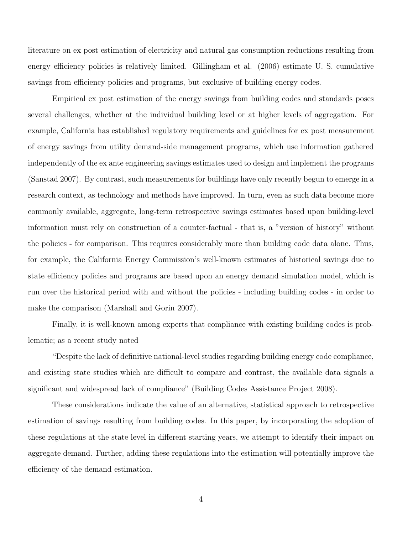literature on ex post estimation of electricity and natural gas consumption reductions resulting from energy efficiency policies is relatively limited. Gillingham et al. (2006) estimate U. S. cumulative savings from efficiency policies and programs, but exclusive of building energy codes.

Empirical ex post estimation of the energy savings from building codes and standards poses several challenges, whether at the individual building level or at higher levels of aggregation. For example, California has established regulatory requirements and guidelines for ex post measurement of energy savings from utility demand-side management programs, which use information gathered independently of the ex ante engineering savings estimates used to design and implement the programs (Sanstad 2007). By contrast, such measurements for buildings have only recently begun to emerge in a research context, as technology and methods have improved. In turn, even as such data become more commonly available, aggregate, long-term retrospective savings estimates based upon building-level information must rely on construction of a counter-factual - that is, a "version of history" without the policies - for comparison. This requires considerably more than building code data alone. Thus, for example, the California Energy Commission's well-known estimates of historical savings due to state efficiency policies and programs are based upon an energy demand simulation model, which is run over the historical period with and without the policies - including building codes - in order to make the comparison (Marshall and Gorin 2007).

Finally, it is well-known among experts that compliance with existing building codes is problematic; as a recent study noted

"Despite the lack of definitive national-level studies regarding building energy code compliance, and existing state studies which are difficult to compare and contrast, the available data signals a significant and widespread lack of compliance" (Building Codes Assistance Project 2008).

These considerations indicate the value of an alternative, statistical approach to retrospective estimation of savings resulting from building codes. In this paper, by incorporating the adoption of these regulations at the state level in different starting years, we attempt to identify their impact on aggregate demand. Further, adding these regulations into the estimation will potentially improve the efficiency of the demand estimation.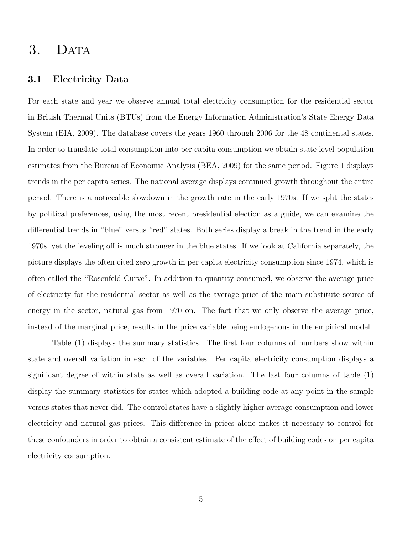### 3. DATA

#### 3.1 Electricity Data

For each state and year we observe annual total electricity consumption for the residential sector in British Thermal Units (BTUs) from the Energy Information Administration's State Energy Data System (EIA, 2009). The database covers the years 1960 through 2006 for the 48 continental states. In order to translate total consumption into per capita consumption we obtain state level population estimates from the Bureau of Economic Analysis (BEA, 2009) for the same period. Figure 1 displays trends in the per capita series. The national average displays continued growth throughout the entire period. There is a noticeable slowdown in the growth rate in the early 1970s. If we split the states by political preferences, using the most recent presidential election as a guide, we can examine the differential trends in "blue" versus "red" states. Both series display a break in the trend in the early 1970s, yet the leveling off is much stronger in the blue states. If we look at California separately, the picture displays the often cited zero growth in per capita electricity consumption since 1974, which is often called the "Rosenfeld Curve". In addition to quantity consumed, we observe the average price of electricity for the residential sector as well as the average price of the main substitute source of energy in the sector, natural gas from 1970 on. The fact that we only observe the average price, instead of the marginal price, results in the price variable being endogenous in the empirical model.

Table (1) displays the summary statistics. The first four columns of numbers show within state and overall variation in each of the variables. Per capita electricity consumption displays a significant degree of within state as well as overall variation. The last four columns of table (1) display the summary statistics for states which adopted a building code at any point in the sample versus states that never did. The control states have a slightly higher average consumption and lower electricity and natural gas prices. This difference in prices alone makes it necessary to control for these confounders in order to obtain a consistent estimate of the effect of building codes on per capita electricity consumption.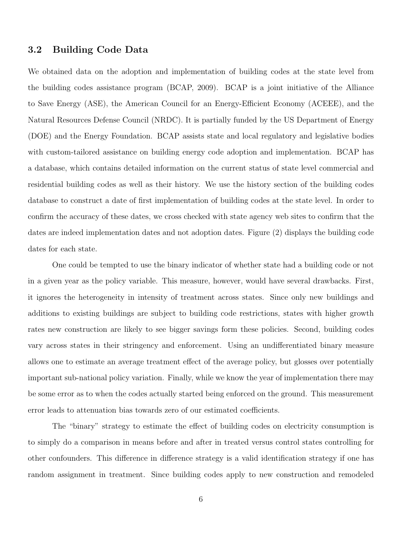#### 3.2 Building Code Data

We obtained data on the adoption and implementation of building codes at the state level from the building codes assistance program (BCAP, 2009). BCAP is a joint initiative of the Alliance to Save Energy (ASE), the American Council for an Energy-Efficient Economy (ACEEE), and the Natural Resources Defense Council (NRDC). It is partially funded by the US Department of Energy (DOE) and the Energy Foundation. BCAP assists state and local regulatory and legislative bodies with custom-tailored assistance on building energy code adoption and implementation. BCAP has a database, which contains detailed information on the current status of state level commercial and residential building codes as well as their history. We use the history section of the building codes database to construct a date of first implementation of building codes at the state level. In order to confirm the accuracy of these dates, we cross checked with state agency web sites to confirm that the dates are indeed implementation dates and not adoption dates. Figure (2) displays the building code dates for each state.

One could be tempted to use the binary indicator of whether state had a building code or not in a given year as the policy variable. This measure, however, would have several drawbacks. First, it ignores the heterogeneity in intensity of treatment across states. Since only new buildings and additions to existing buildings are subject to building code restrictions, states with higher growth rates new construction are likely to see bigger savings form these policies. Second, building codes vary across states in their stringency and enforcement. Using an undifferentiated binary measure allows one to estimate an average treatment effect of the average policy, but glosses over potentially important sub-national policy variation. Finally, while we know the year of implementation there may be some error as to when the codes actually started being enforced on the ground. This measurement error leads to attenuation bias towards zero of our estimated coefficients.

The "binary" strategy to estimate the effect of building codes on electricity consumption is to simply do a comparison in means before and after in treated versus control states controlling for other confounders. This difference in difference strategy is a valid identification strategy if one has random assignment in treatment. Since building codes apply to new construction and remodeled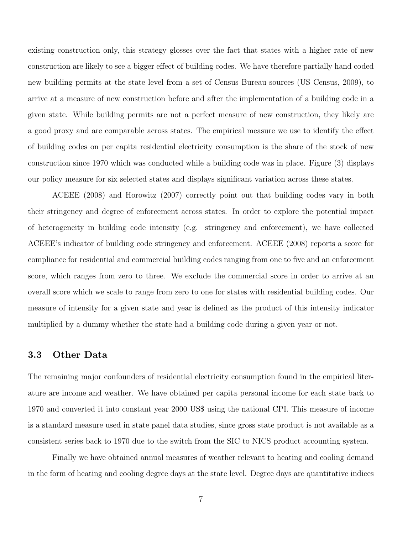existing construction only, this strategy glosses over the fact that states with a higher rate of new construction are likely to see a bigger effect of building codes. We have therefore partially hand coded new building permits at the state level from a set of Census Bureau sources (US Census, 2009), to arrive at a measure of new construction before and after the implementation of a building code in a given state. While building permits are not a perfect measure of new construction, they likely are a good proxy and are comparable across states. The empirical measure we use to identify the effect of building codes on per capita residential electricity consumption is the share of the stock of new construction since 1970 which was conducted while a building code was in place. Figure (3) displays our policy measure for six selected states and displays significant variation across these states.

ACEEE (2008) and Horowitz (2007) correctly point out that building codes vary in both their stringency and degree of enforcement across states. In order to explore the potential impact of heterogeneity in building code intensity (e.g. stringency and enforcement), we have collected ACEEE's indicator of building code stringency and enforcement. ACEEE (2008) reports a score for compliance for residential and commercial building codes ranging from one to five and an enforcement score, which ranges from zero to three. We exclude the commercial score in order to arrive at an overall score which we scale to range from zero to one for states with residential building codes. Our measure of intensity for a given state and year is defined as the product of this intensity indicator multiplied by a dummy whether the state had a building code during a given year or not.

#### 3.3 Other Data

The remaining major confounders of residential electricity consumption found in the empirical literature are income and weather. We have obtained per capita personal income for each state back to 1970 and converted it into constant year 2000 US\$ using the national CPI. This measure of income is a standard measure used in state panel data studies, since gross state product is not available as a consistent series back to 1970 due to the switch from the SIC to NICS product accounting system.

Finally we have obtained annual measures of weather relevant to heating and cooling demand in the form of heating and cooling degree days at the state level. Degree days are quantitative indices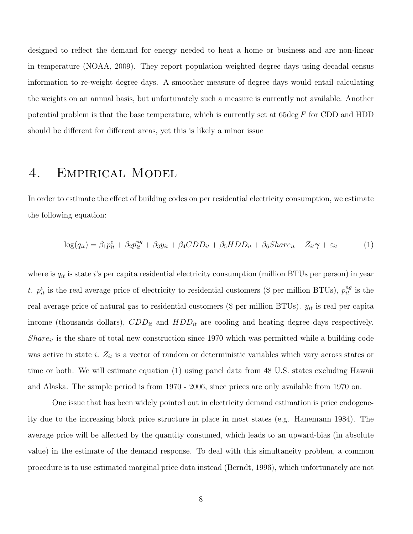designed to reflect the demand for energy needed to heat a home or business and are non-linear in temperature (NOAA, 2009). They report population weighted degree days using decadal census information to re-weight degree days. A smoother measure of degree days would entail calculating the weights on an annual basis, but unfortunately such a measure is currently not available. Another potential problem is that the base temperature, which is currently set at 65deg F for CDD and HDD should be different for different areas, yet this is likely a minor issue

## 4. Empirical Model

In order to estimate the effect of building codes on per residential electricity consumption, we estimate the following equation:

$$
\log(q_{it}) = \beta_1 p_{it}^e + \beta_2 p_{it}^{ng} + \beta_3 y_{it} + \beta_4 CDD_{it} + \beta_5 HDD_{it} + \beta_6 Share_{it} + Z_{it}\gamma + \varepsilon_{it}
$$
(1)

where is  $q_{it}$  is state i's per capita residential electricity consumption (million BTUs per person) in year t.  $p_{it}^e$  is the real average price of electricity to residential customers (\$ per million BTUs),  $p_{it}^{ng}$  is the real average price of natural gas to residential customers (\$ per million BTUs).  $y_{it}$  is real per capita income (thousands dollars),  $CDD_{it}$  and  $HDD_{it}$  are cooling and heating degree days respectively.  $Share_{it}$  is the share of total new construction since 1970 which was permitted while a building code was active in state i.  $Z_{it}$  is a vector of random or deterministic variables which vary across states or time or both. We will estimate equation (1) using panel data from 48 U.S. states excluding Hawaii and Alaska. The sample period is from 1970 - 2006, since prices are only available from 1970 on.

One issue that has been widely pointed out in electricity demand estimation is price endogeneity due to the increasing block price structure in place in most states (e.g. Hanemann 1984). The average price will be affected by the quantity consumed, which leads to an upward-bias (in absolute value) in the estimate of the demand response. To deal with this simultaneity problem, a common procedure is to use estimated marginal price data instead (Berndt, 1996), which unfortunately are not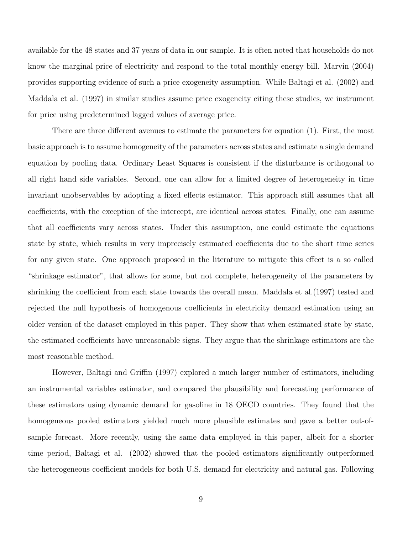available for the 48 states and 37 years of data in our sample. It is often noted that households do not know the marginal price of electricity and respond to the total monthly energy bill. Marvin (2004) provides supporting evidence of such a price exogeneity assumption. While Baltagi et al. (2002) and Maddala et al. (1997) in similar studies assume price exogeneity citing these studies, we instrument for price using predetermined lagged values of average price.

There are three different avenues to estimate the parameters for equation (1). First, the most basic approach is to assume homogeneity of the parameters across states and estimate a single demand equation by pooling data. Ordinary Least Squares is consistent if the disturbance is orthogonal to all right hand side variables. Second, one can allow for a limited degree of heterogeneity in time invariant unobservables by adopting a fixed effects estimator. This approach still assumes that all coefficients, with the exception of the intercept, are identical across states. Finally, one can assume that all coefficients vary across states. Under this assumption, one could estimate the equations state by state, which results in very imprecisely estimated coefficients due to the short time series for any given state. One approach proposed in the literature to mitigate this effect is a so called "shrinkage estimator", that allows for some, but not complete, heterogeneity of the parameters by shrinking the coefficient from each state towards the overall mean. Maddala et al.(1997) tested and rejected the null hypothesis of homogenous coefficients in electricity demand estimation using an older version of the dataset employed in this paper. They show that when estimated state by state, the estimated coefficients have unreasonable signs. They argue that the shrinkage estimators are the most reasonable method.

However, Baltagi and Griffin (1997) explored a much larger number of estimators, including an instrumental variables estimator, and compared the plausibility and forecasting performance of these estimators using dynamic demand for gasoline in 18 OECD countries. They found that the homogeneous pooled estimators yielded much more plausible estimates and gave a better out-ofsample forecast. More recently, using the same data employed in this paper, albeit for a shorter time period, Baltagi et al. (2002) showed that the pooled estimators significantly outperformed the heterogeneous coefficient models for both U.S. demand for electricity and natural gas. Following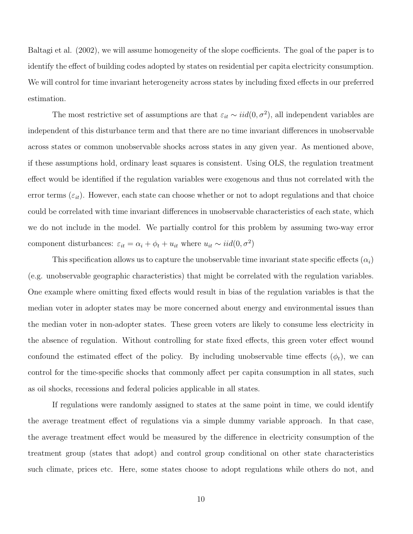Baltagi et al. (2002), we will assume homogeneity of the slope coefficients. The goal of the paper is to identify the effect of building codes adopted by states on residential per capita electricity consumption. We will control for time invariant heterogeneity across states by including fixed effects in our preferred estimation.

The most restrictive set of assumptions are that  $\varepsilon_{it} \sim \text{iid}(0, \sigma^2)$ , all independent variables are independent of this disturbance term and that there are no time invariant differences in unobservable across states or common unobservable shocks across states in any given year. As mentioned above, if these assumptions hold, ordinary least squares is consistent. Using OLS, the regulation treatment effect would be identified if the regulation variables were exogenous and thus not correlated with the error terms  $(\varepsilon_{it})$ . However, each state can choose whether or not to adopt regulations and that choice could be correlated with time invariant differences in unobservable characteristics of each state, which we do not include in the model. We partially control for this problem by assuming two-way error component disturbances:  $\varepsilon_{it} = \alpha_i + \phi_t + u_{it}$  where  $u_{it} \sim \text{iid}(0, \sigma^2)$ 

This specification allows us to capture the unobservable time invariant state specific effects  $(\alpha_i)$ (e.g. unobservable geographic characteristics) that might be correlated with the regulation variables. One example where omitting fixed effects would result in bias of the regulation variables is that the median voter in adopter states may be more concerned about energy and environmental issues than the median voter in non-adopter states. These green voters are likely to consume less electricity in the absence of regulation. Without controlling for state fixed effects, this green voter effect wound confound the estimated effect of the policy. By including unobservable time effects  $(\phi_t)$ , we can control for the time-specific shocks that commonly affect per capita consumption in all states, such as oil shocks, recessions and federal policies applicable in all states.

If regulations were randomly assigned to states at the same point in time, we could identify the average treatment effect of regulations via a simple dummy variable approach. In that case, the average treatment effect would be measured by the difference in electricity consumption of the treatment group (states that adopt) and control group conditional on other state characteristics such climate, prices etc. Here, some states choose to adopt regulations while others do not, and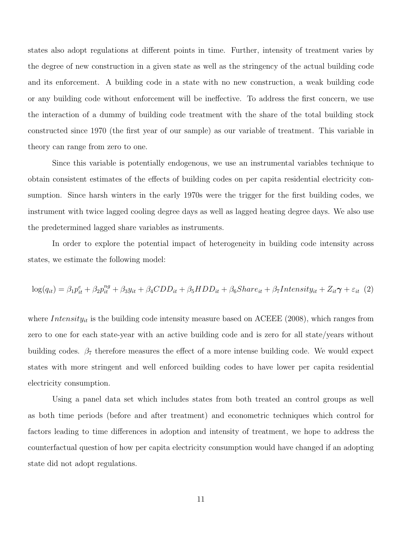states also adopt regulations at different points in time. Further, intensity of treatment varies by the degree of new construction in a given state as well as the stringency of the actual building code and its enforcement. A building code in a state with no new construction, a weak building code or any building code without enforcement will be ineffective. To address the first concern, we use the interaction of a dummy of building code treatment with the share of the total building stock constructed since 1970 (the first year of our sample) as our variable of treatment. This variable in theory can range from zero to one.

Since this variable is potentially endogenous, we use an instrumental variables technique to obtain consistent estimates of the effects of building codes on per capita residential electricity consumption. Since harsh winters in the early 1970s were the trigger for the first building codes, we instrument with twice lagged cooling degree days as well as lagged heating degree days. We also use the predetermined lagged share variables as instruments.

In order to explore the potential impact of heterogeneity in building code intensity across states, we estimate the following model:

$$
\log(q_{it}) = \beta_1 p_{it}^e + \beta_2 p_{it}^{ng} + \beta_3 y_{it} + \beta_4 CDD_{it} + \beta_5 HDD_{it} + \beta_6 Share_{it} + \beta_7 Intensity_{it} + Z_{it} \gamma + \varepsilon_{it} (2)
$$

where *Intensity<sub>it</sub>* is the building code intensity measure based on ACEEE (2008), which ranges from zero to one for each state-year with an active building code and is zero for all state/years without building codes.  $\beta_7$  therefore measures the effect of a more intense building code. We would expect states with more stringent and well enforced building codes to have lower per capita residential electricity consumption.

Using a panel data set which includes states from both treated an control groups as well as both time periods (before and after treatment) and econometric techniques which control for factors leading to time differences in adoption and intensity of treatment, we hope to address the counterfactual question of how per capita electricity consumption would have changed if an adopting state did not adopt regulations.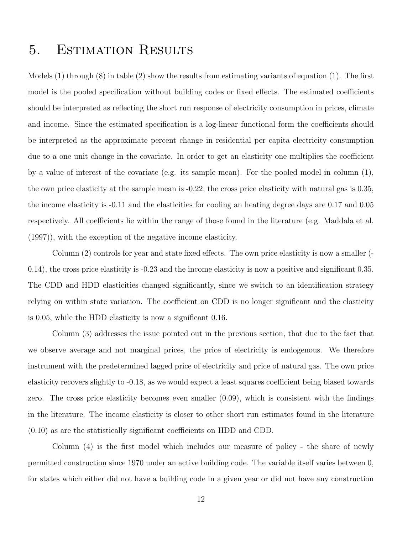## 5. Estimation Results

Models (1) through (8) in table (2) show the results from estimating variants of equation (1). The first model is the pooled specification without building codes or fixed effects. The estimated coefficients should be interpreted as reflecting the short run response of electricity consumption in prices, climate and income. Since the estimated specification is a log-linear functional form the coefficients should be interpreted as the approximate percent change in residential per capita electricity consumption due to a one unit change in the covariate. In order to get an elasticity one multiplies the coefficient by a value of interest of the covariate (e.g. its sample mean). For the pooled model in column (1), the own price elasticity at the sample mean is -0.22, the cross price elasticity with natural gas is 0.35, the income elasticity is -0.11 and the elasticities for cooling an heating degree days are 0.17 and 0.05 respectively. All coefficients lie within the range of those found in the literature (e.g. Maddala et al. (1997)), with the exception of the negative income elasticity.

Column (2) controls for year and state fixed effects. The own price elasticity is now a smaller (- 0.14), the cross price elasticity is -0.23 and the income elasticity is now a positive and significant 0.35. The CDD and HDD elasticities changed significantly, since we switch to an identification strategy relying on within state variation. The coefficient on CDD is no longer significant and the elasticity is 0.05, while the HDD elasticity is now a significant 0.16.

Column (3) addresses the issue pointed out in the previous section, that due to the fact that we observe average and not marginal prices, the price of electricity is endogenous. We therefore instrument with the predetermined lagged price of electricity and price of natural gas. The own price elasticity recovers slightly to -0.18, as we would expect a least squares coefficient being biased towards zero. The cross price elasticity becomes even smaller (0.09), which is consistent with the findings in the literature. The income elasticity is closer to other short run estimates found in the literature (0.10) as are the statistically significant coefficients on HDD and CDD.

Column (4) is the first model which includes our measure of policy - the share of newly permitted construction since 1970 under an active building code. The variable itself varies between 0, for states which either did not have a building code in a given year or did not have any construction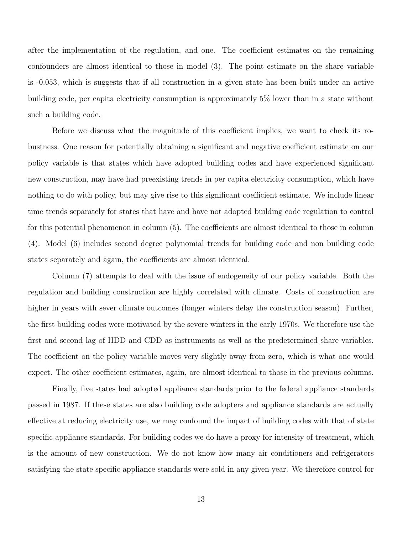after the implementation of the regulation, and one. The coefficient estimates on the remaining confounders are almost identical to those in model (3). The point estimate on the share variable is -0.053, which is suggests that if all construction in a given state has been built under an active building code, per capita electricity consumption is approximately 5% lower than in a state without such a building code.

Before we discuss what the magnitude of this coefficient implies, we want to check its robustness. One reason for potentially obtaining a significant and negative coefficient estimate on our policy variable is that states which have adopted building codes and have experienced significant new construction, may have had preexisting trends in per capita electricity consumption, which have nothing to do with policy, but may give rise to this significant coefficient estimate. We include linear time trends separately for states that have and have not adopted building code regulation to control for this potential phenomenon in column (5). The coefficients are almost identical to those in column (4). Model (6) includes second degree polynomial trends for building code and non building code states separately and again, the coefficients are almost identical.

Column (7) attempts to deal with the issue of endogeneity of our policy variable. Both the regulation and building construction are highly correlated with climate. Costs of construction are higher in years with sever climate outcomes (longer winters delay the construction season). Further, the first building codes were motivated by the severe winters in the early 1970s. We therefore use the first and second lag of HDD and CDD as instruments as well as the predetermined share variables. The coefficient on the policy variable moves very slightly away from zero, which is what one would expect. The other coefficient estimates, again, are almost identical to those in the previous columns.

Finally, five states had adopted appliance standards prior to the federal appliance standards passed in 1987. If these states are also building code adopters and appliance standards are actually effective at reducing electricity use, we may confound the impact of building codes with that of state specific appliance standards. For building codes we do have a proxy for intensity of treatment, which is the amount of new construction. We do not know how many air conditioners and refrigerators satisfying the state specific appliance standards were sold in any given year. We therefore control for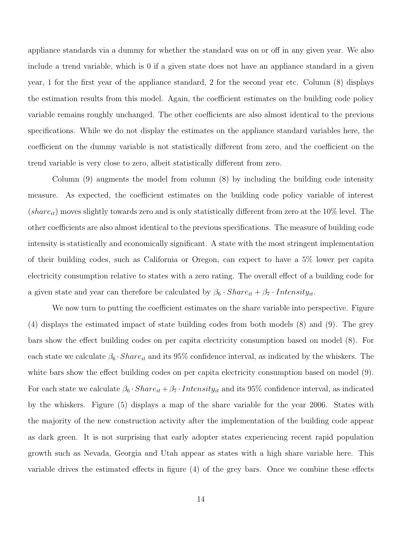appliance standards via a dummy for whether the standard was on or off in any given year. We also include a trend variable, which is 0 if a given state does not have an appliance standard in a given year, 1 for the first year of the appliance standard, 2 for the second year etc. Column (8) displays the estimation results from this model. Again, the coefficient estimates on the building code policy variable remains roughly unchanged. The other coefficients are also almost identical to the previous specifications. While we do not display the estimates on the appliance standard variables here, the coefficient on the dummy variable is not statistically different from zero, and the coefficient on the trend variable is very close to zero, albeit statistically different from zero.

Column (9) augments the model from column (8) by including the building code intensity measure. As expected, the coefficient estimates on the building code policy variable of interest  $(share_{it})$  moves slightly towards zero and is only statistically different from zero at the 10% level. The other coefficients are also almost identical to the previous specifications. The measure of building code intensity is statistically and economically significant. A state with the most stringent implementation of their building codes, such as California or Oregon, can expect to have a 5% lower per capita electricity consumption relative to states with a zero rating. The overall effect of a building code for a given state and year can therefore be calculated by  $\beta_6 \cdot Share_{it} + \beta_7 \cdot Intensity_{it}$ .

We now turn to putting the coefficient estimates on the share variable into perspective. Figure (4) displays the estimated impact of state building codes from both models (8) and (9). The grey bars show the effect building codes on per capita electricity consumption based on model (8). For each state we calculate  $\beta_6 \cdot Shar_{it}$  and its 95% confidence interval, as indicated by the whiskers. The white bars show the effect building codes on per capita electricity consumption based on model (9). For each state we calculate  $\beta_6 \cdot Share_{it} + \beta_7 \cdot Intensity_{it}$  and its 95% confidence interval, as indicated by the whiskers. Figure (5) displays a map of the share variable for the year 2006. States with the majority of the new construction activity after the implementation of the building code appear as dark green. It is not surprising that early adopter states experiencing recent rapid population growth such as Nevada, Georgia and Utah appear as states with a high share variable here. This variable drives the estimated effects in figure (4) of the grey bars. Once we combine these effects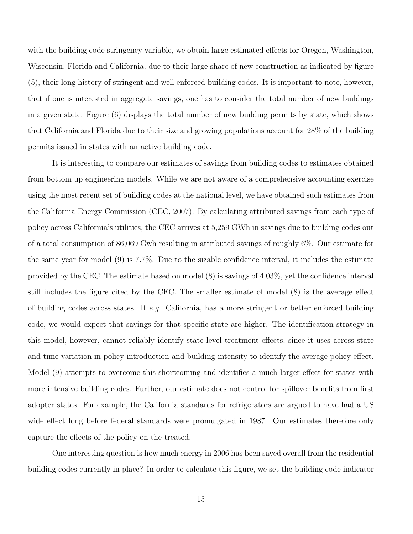with the building code stringency variable, we obtain large estimated effects for Oregon, Washington, Wisconsin, Florida and California, due to their large share of new construction as indicated by figure (5), their long history of stringent and well enforced building codes. It is important to note, however, that if one is interested in aggregate savings, one has to consider the total number of new buildings in a given state. Figure (6) displays the total number of new building permits by state, which shows that California and Florida due to their size and growing populations account for 28% of the building permits issued in states with an active building code.

It is interesting to compare our estimates of savings from building codes to estimates obtained from bottom up engineering models. While we are not aware of a comprehensive accounting exercise using the most recent set of building codes at the national level, we have obtained such estimates from the California Energy Commission (CEC, 2007). By calculating attributed savings from each type of policy across California's utilities, the CEC arrives at 5,259 GWh in savings due to building codes out of a total consumption of 86,069 Gwh resulting in attributed savings of roughly 6%. Our estimate for the same year for model (9) is 7.7%. Due to the sizable confidence interval, it includes the estimate provided by the CEC. The estimate based on model (8) is savings of 4.03%, yet the confidence interval still includes the figure cited by the CEC. The smaller estimate of model (8) is the average effect of building codes across states. If  $e.g.$  California, has a more stringent or better enforced building code, we would expect that savings for that specific state are higher. The identification strategy in this model, however, cannot reliably identify state level treatment effects, since it uses across state and time variation in policy introduction and building intensity to identify the average policy effect. Model (9) attempts to overcome this shortcoming and identifies a much larger effect for states with more intensive building codes. Further, our estimate does not control for spillover benefits from first adopter states. For example, the California standards for refrigerators are argued to have had a US wide effect long before federal standards were promulgated in 1987. Our estimates therefore only capture the effects of the policy on the treated.

One interesting question is how much energy in 2006 has been saved overall from the residential building codes currently in place? In order to calculate this figure, we set the building code indicator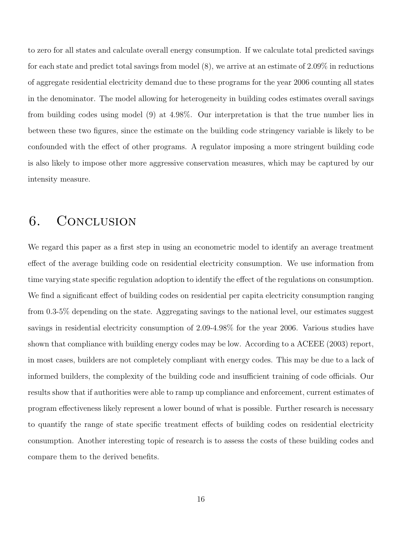to zero for all states and calculate overall energy consumption. If we calculate total predicted savings for each state and predict total savings from model (8), we arrive at an estimate of 2.09% in reductions of aggregate residential electricity demand due to these programs for the year 2006 counting all states in the denominator. The model allowing for heterogeneity in building codes estimates overall savings from building codes using model (9) at 4.98%. Our interpretation is that the true number lies in between these two figures, since the estimate on the building code stringency variable is likely to be confounded with the effect of other programs. A regulator imposing a more stringent building code is also likely to impose other more aggressive conservation measures, which may be captured by our intensity measure.

## 6. Conclusion

We regard this paper as a first step in using an econometric model to identify an average treatment effect of the average building code on residential electricity consumption. We use information from time varying state specific regulation adoption to identify the effect of the regulations on consumption. We find a significant effect of building codes on residential per capita electricity consumption ranging from 0.3-5% depending on the state. Aggregating savings to the national level, our estimates suggest savings in residential electricity consumption of 2.09-4.98% for the year 2006. Various studies have shown that compliance with building energy codes may be low. According to a ACEEE (2003) report, in most cases, builders are not completely compliant with energy codes. This may be due to a lack of informed builders, the complexity of the building code and insufficient training of code officials. Our results show that if authorities were able to ramp up compliance and enforcement, current estimates of program effectiveness likely represent a lower bound of what is possible. Further research is necessary to quantify the range of state specific treatment effects of building codes on residential electricity consumption. Another interesting topic of research is to assess the costs of these building codes and compare them to the derived benefits.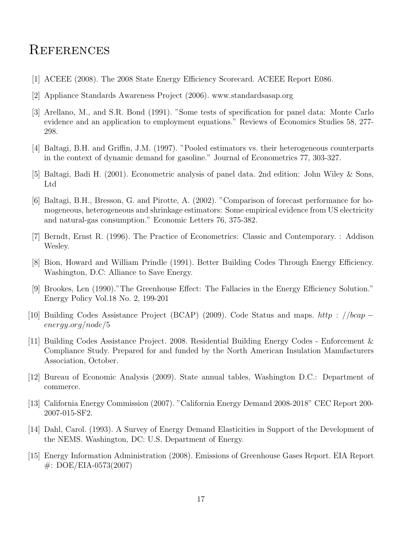### **REFERENCES**

- [1] ACEEE (2008). The 2008 State Energy Efficiency Scorecard. ACEEE Report E086.
- [2] Appliance Standards Awareness Project (2006). www.standardsasap.org
- [3] Arellano, M., and S.R. Bond (1991). "Some tests of specification for panel data: Monte Carlo evidence and an application to employment equations." Reviews of Economics Studies 58, 277- 298.
- [4] Baltagi, B.H. and Griffin, J.M. (1997). "Pooled estimators vs. their heterogeneous counterparts in the context of dynamic demand for gasoline." Journal of Econometrics 77, 303-327.
- [5] Baltagi, Badi H. (2001). Econometric analysis of panel data. 2nd edition: John Wiley & Sons, Ltd
- [6] Baltagi, B.H., Bresson, G. and Pirotte, A. (2002). "Comparison of forecast performance for homogeneous, heterogeneous and shrinkage estimators: Some empirical evidence from US electricity and natural-gas consumption." Economic Letters 76, 375-382.
- [7] Berndt, Ernst R. (1996). The Practice of Econometrics: Classic and Contemporary. : Addison Wesley.
- [8] Bion, Howard and William Prindle (1991). Better Building Codes Through Energy Efficiency. Washington, D.C: Alliance to Save Energy.
- [9] Brookes, Len (1990)."The Greenhouse Effect: The Fallacies in the Energy Efficiency Solution." Energy Policy Vol.18 No. 2, 199-201
- [10] Building Codes Assistance Project (BCAP) (2009). Code Status and maps. http : //bcap − energy.org/node/5
- [11] Building Codes Assistance Project. 2008. Residential Building Energy Codes Enforcement & Compliance Study. Prepared for and funded by the North American Insulation Manufacturers Association, October.
- [12] Bureau of Economic Analysis (2009). State annual tables, Washington D.C.: Department of commerce.
- [13] California Energy Commission (2007). "California Energy Demand 2008-2018" CEC Report 200- 2007-015-SF2.
- [14] Dahl, Carol. (1993). A Survey of Energy Demand Elasticities in Support of the Development of the NEMS. Washington, DC: U.S. Department of Energy.
- [15] Energy Information Administration (2008). Emissions of Greenhouse Gases Report. EIA Report #: DOE/EIA-0573(2007)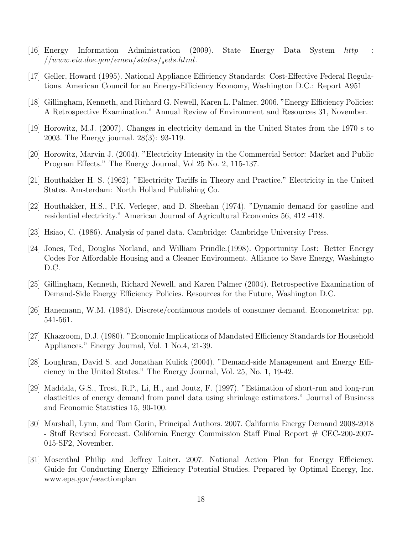- [16] Energy Information Administration (2009). State Energy Data System http :  $//www.eia.doc.gov/emeu/states/{}_{s}eds.html.$
- [17] Geller, Howard (1995). National Appliance Efficiency Standards: Cost-Effective Federal Regulations. American Council for an Energy-Efficiency Economy, Washington D.C.: Report A951
- [18] Gillingham, Kenneth, and Richard G. Newell, Karen L. Palmer. 2006. "Energy Efficiency Policies: A Retrospective Examination." Annual Review of Environment and Resources 31, November.
- [19] Horowitz, M.J. (2007). Changes in electricity demand in the United States from the 1970 s to 2003. The Energy journal. 28(3): 93-119.
- [20] Horowitz, Marvin J. (2004). "Electricity Intensity in the Commercial Sector: Market and Public Program Effects." The Energy Journal, Vol 25 No. 2, 115-137.
- [21] Houthakker H. S. (1962). "Electricity Tariffs in Theory and Practice." Electricity in the United States. Amsterdam: North Holland Publishing Co.
- [22] Houthakker, H.S., P.K. Verleger, and D. Sheehan (1974). "Dynamic demand for gasoline and residential electricity." American Journal of Agricultural Economics 56, 412 -418.
- [23] Hsiao, C. (1986). Analysis of panel data. Cambridge: Cambridge University Press.
- [24] Jones, Ted, Douglas Norland, and William Prindle.(1998). Opportunity Lost: Better Energy Codes For Affordable Housing and a Cleaner Environment. Alliance to Save Energy, Washingto D.C.
- [25] Gillingham, Kenneth, Richard Newell, and Karen Palmer (2004). Retrospective Examination of Demand-Side Energy Efficiency Policies. Resources for the Future, Washington D.C.
- [26] Hanemann, W.M. (1984). Discrete/continuous models of consumer demand. Econometrica: pp. 541-561.
- [27] Khazzoom, D.J. (1980). "Economic Implications of Mandated Efficiency Standards for Household Appliances." Energy Journal, Vol. 1 No.4, 21-39.
- [28] Loughran, David S. and Jonathan Kulick (2004). "Demand-side Management and Energy Efficiency in the United States." The Energy Journal, Vol. 25, No. 1, 19-42.
- [29] Maddala, G.S., Trost, R.P., Li, H., and Joutz, F. (1997). "Estimation of short-run and long-run elasticities of energy demand from panel data using shrinkage estimators." Journal of Business and Economic Statistics 15, 90-100.
- [30] Marshall, Lynn, and Tom Gorin, Principal Authors. 2007. California Energy Demand 2008-2018 - Staff Revised Forecast. California Energy Commission Staff Final Report # CEC-200-2007- 015-SF2, November.
- [31] Mosenthal Philip and Jeffrey Loiter. 2007. National Action Plan for Energy Efficiency. Guide for Conducting Energy Efficiency Potential Studies. Prepared by Optimal Energy, Inc. www.epa.gov/eeactionplan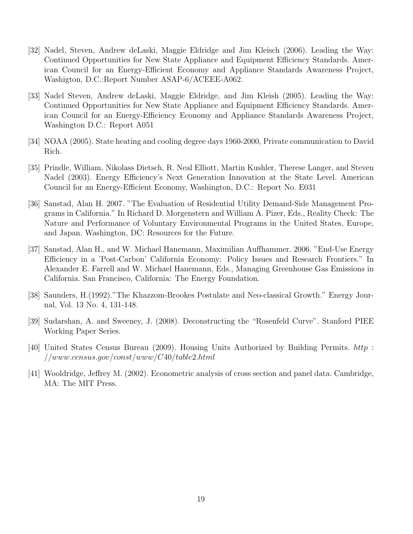- [32] Nadel, Steven, Andrew deLaski, Maggie Eldridge and Jim Kleisch (2006). Leading the Way: Continued Opportunities for New State Appliance and Equipment Efficiency Standards. American Council for an Energy-Efficient Economy and Appliance Standards Awareness Project, Washigton, D.C.:Report Number ASAP-6/ACEEE-A062.
- [33] Nadel Steven, Andrew deLaski, Maggie Eldridge, and Jim Kleish (2005). Leading the Way: Continued Opportunities for New State Appliance and Equipment Efficiency Standards. American Council for an Energy-Efficiency Economy and Appliance Standards Awareness Project, Washington D.C.: Report A051
- [34] NOAA (2005). State heating and cooling degree days 1960-2000, Private communication to David Rich.
- [35] Prindle, William, Nikolass Dietsch, R. Neal Elliott, Martin Kushler, Therese Langer, and Steven Nadel (2003). Energy Efficiency's Next Generation Innovation at the State Level. American Council for an Energy-Efficient Economy, Washington, D.C.: Report No. E031
- [36] Sanstad, Alan H. 2007. "The Evaluation of Residential Utility Demand-Side Management Programs in California." In Richard D. Morgenstern and William A. Pizer, Eds., Reality Check: The Nature and Performance of Voluntary Environmental Programs in the United States, Europe, and Japan. Washington, DC: Resources for the Future.
- [37] Sanstad, Alan H., and W. Michael Hanemann, Maximilian Auffhammer. 2006. "End-Use Energy Efficiency in a 'Post-Carbon' California Economy: Policy Issues and Research Frontiers." In Alexander E. Farrell and W. Michael Hanemann, Eds., Managing Greenhouse Gas Emissions in California. San Francisco, California: The Energy Foundation.
- [38] Saunders, H.(1992)."The Khazzom-Brookes Postulate and Neo-classical Growth." Energy Journal, Vol. 13 No. 4, 131-148.
- [39] Sudarshan, A. and Sweeney, J. (2008). Deconstructing the "Rosenfeld Curve". Stanford PIEE Working Paper Series.
- [40] United States Census Bureau (2009). Housing Units Authorized by Building Permits. http : //www.census.gov/const/www/C40/table2.html
- [41] Wooldridge, Jeffrey M. (2002). Econometric analysis of cross section and panel data. Cambridge, MA: The MIT Press.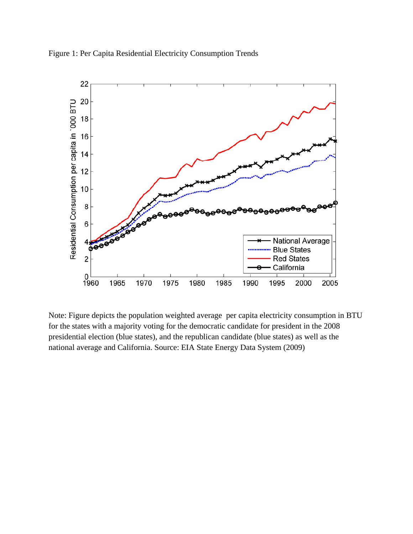



Note: Figure depicts the population weighted average per capita electricity consumption in BTU for the states with a majority voting for the democratic candidate for president in the 2008 presidential election (blue states), and the republican candidate (blue states) as well as the national average and California. Source: EIA State Energy Data System (2009)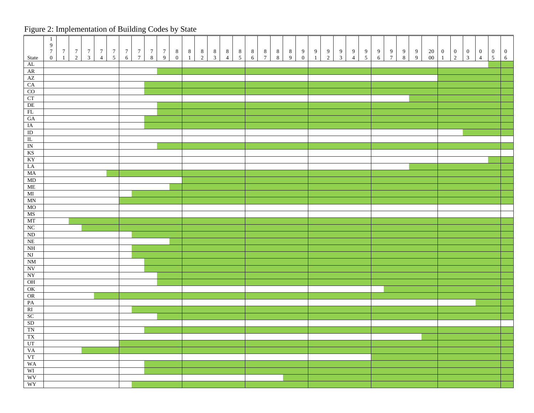## Figure 2: Implementation of Building Codes by State

|                                                                                                                                        | $\mathbf{1}$<br>$\boldsymbol{9}$<br>$7\phantom{.0}$ |               |               |                                       |                                       |                                       |                                       |               |                                       |                                       |                                       |                                       |                                       |                                       |                                       |                                       |                                       |                                       |                                       |                                       |                                      |               |               |               |                                       |                                       |                                       |               |                                       |                                       |                                        |                                  |                                  |                                       |                                       |                                       |                                       |
|----------------------------------------------------------------------------------------------------------------------------------------|-----------------------------------------------------|---------------|---------------|---------------------------------------|---------------------------------------|---------------------------------------|---------------------------------------|---------------|---------------------------------------|---------------------------------------|---------------------------------------|---------------------------------------|---------------------------------------|---------------------------------------|---------------------------------------|---------------------------------------|---------------------------------------|---------------------------------------|---------------------------------------|---------------------------------------|--------------------------------------|---------------|---------------|---------------|---------------------------------------|---------------------------------------|---------------------------------------|---------------|---------------------------------------|---------------------------------------|----------------------------------------|----------------------------------|----------------------------------|---------------------------------------|---------------------------------------|---------------------------------------|---------------------------------------|
| State                                                                                                                                  | $\boldsymbol{0}$                                    | $\frac{7}{1}$ | $\frac{7}{2}$ | $\begin{array}{c} 7 \\ 3 \end{array}$ | $\begin{array}{c} 7 \\ 4 \end{array}$ | $\begin{array}{c} 7 \\ 5 \end{array}$ | $\begin{array}{c} 7 \\ 6 \end{array}$ | $\frac{7}{7}$ | $\begin{array}{c} 7 \\ 8 \end{array}$ | $\begin{array}{c} 7 \\ 9 \end{array}$ | $\begin{array}{c} 8 \\ 0 \end{array}$ | $\begin{array}{c} 8 \\ 1 \end{array}$ | $\begin{array}{c} 8 \\ 2 \end{array}$ | $\begin{array}{c} 8 \\ 3 \end{array}$ | $\begin{array}{c} 8 \\ 4 \end{array}$ | $\begin{array}{c} 8 \\ 5 \end{array}$ | $\begin{array}{c} 8 \\ 6 \end{array}$ | $\begin{array}{c} 8 \\ 7 \end{array}$ | $\begin{array}{c} 8 \\ 8 \end{array}$ | $\begin{array}{c} 8 \\ 9 \end{array}$ | $\begin{matrix} 9 \\ 0 \end{matrix}$ | $\frac{9}{1}$ | $\frac{9}{2}$ | $\frac{9}{3}$ | $\begin{array}{c} 9 \\ 4 \end{array}$ | $\begin{array}{c} 9 \\ 5 \end{array}$ | $\begin{array}{c} 9 \\ 6 \end{array}$ | $\frac{9}{7}$ | $\begin{array}{c} 9 \\ 8 \end{array}$ | $\begin{array}{c} 9 \\ 9 \end{array}$ | $\begin{matrix} 20 \\ 00 \end{matrix}$ | $\begin{matrix}0\\1\end{matrix}$ | $\begin{matrix}0\\2\end{matrix}$ | $\begin{array}{c} 0 \\ 3 \end{array}$ | $\begin{array}{c} 0 \\ 4 \end{array}$ | $\begin{array}{c} 0 \\ 5 \end{array}$ | $\begin{array}{c} 0 \\ 6 \end{array}$ |
| $\frac{AL}{AR}$                                                                                                                        |                                                     |               |               |                                       |                                       |                                       |                                       |               |                                       |                                       |                                       |                                       |                                       |                                       |                                       |                                       |                                       |                                       |                                       |                                       |                                      |               |               |               |                                       |                                       |                                       |               |                                       |                                       |                                        |                                  |                                  |                                       |                                       |                                       |                                       |
|                                                                                                                                        |                                                     |               |               |                                       |                                       |                                       |                                       |               |                                       |                                       |                                       |                                       |                                       |                                       |                                       |                                       |                                       |                                       |                                       |                                       |                                      |               |               |               |                                       |                                       |                                       |               |                                       |                                       |                                        |                                  |                                  |                                       |                                       |                                       |                                       |
|                                                                                                                                        |                                                     |               |               |                                       |                                       |                                       |                                       |               |                                       |                                       |                                       |                                       |                                       |                                       |                                       |                                       |                                       |                                       |                                       |                                       |                                      |               |               |               |                                       |                                       |                                       |               |                                       |                                       |                                        |                                  |                                  |                                       |                                       |                                       |                                       |
| $\frac{CA}{CO}$                                                                                                                        |                                                     |               |               |                                       |                                       |                                       |                                       |               |                                       |                                       |                                       |                                       |                                       |                                       |                                       |                                       |                                       |                                       |                                       |                                       |                                      |               |               |               |                                       |                                       |                                       |               |                                       |                                       |                                        |                                  |                                  |                                       |                                       |                                       |                                       |
|                                                                                                                                        |                                                     |               |               |                                       |                                       |                                       |                                       |               |                                       |                                       |                                       |                                       |                                       |                                       |                                       |                                       |                                       |                                       |                                       |                                       |                                      |               |               |               |                                       |                                       |                                       |               |                                       |                                       |                                        |                                  |                                  |                                       |                                       |                                       |                                       |
| $\frac{\text{CT}}{\text{DE}}$                                                                                                          |                                                     |               |               |                                       |                                       |                                       |                                       |               |                                       |                                       |                                       |                                       |                                       |                                       |                                       |                                       |                                       |                                       |                                       |                                       |                                      |               |               |               |                                       |                                       |                                       |               |                                       |                                       |                                        |                                  |                                  |                                       |                                       |                                       |                                       |
|                                                                                                                                        |                                                     |               |               |                                       |                                       |                                       |                                       |               |                                       |                                       |                                       |                                       |                                       |                                       |                                       |                                       |                                       |                                       |                                       |                                       |                                      |               |               |               |                                       |                                       |                                       |               |                                       |                                       |                                        |                                  |                                  |                                       |                                       |                                       |                                       |
| $\frac{\text{FL}}{\text{GA}}$                                                                                                          |                                                     |               |               |                                       |                                       |                                       |                                       |               |                                       |                                       |                                       |                                       |                                       |                                       |                                       |                                       |                                       |                                       |                                       |                                       |                                      |               |               |               |                                       |                                       |                                       |               |                                       |                                       |                                        |                                  |                                  |                                       |                                       |                                       |                                       |
|                                                                                                                                        |                                                     |               |               |                                       |                                       |                                       |                                       |               |                                       |                                       |                                       |                                       |                                       |                                       |                                       |                                       |                                       |                                       |                                       |                                       |                                      |               |               |               |                                       |                                       |                                       |               |                                       |                                       |                                        |                                  |                                  |                                       |                                       |                                       |                                       |
| $\begin{tabular}{c} IA \\ \hline ID \\ \hline IL \\ \hline IN \\ \hline KS \\ \hline KY \\ \end{tabular}$                              |                                                     |               |               |                                       |                                       |                                       |                                       |               |                                       |                                       |                                       |                                       |                                       |                                       |                                       |                                       |                                       |                                       |                                       |                                       |                                      |               |               |               |                                       |                                       |                                       |               |                                       |                                       |                                        |                                  |                                  |                                       |                                       |                                       |                                       |
|                                                                                                                                        |                                                     |               |               |                                       |                                       |                                       |                                       |               |                                       |                                       |                                       |                                       |                                       |                                       |                                       |                                       |                                       |                                       |                                       |                                       |                                      |               |               |               |                                       |                                       |                                       |               |                                       |                                       |                                        |                                  |                                  |                                       |                                       |                                       |                                       |
|                                                                                                                                        |                                                     |               |               |                                       |                                       |                                       |                                       |               |                                       |                                       |                                       |                                       |                                       |                                       |                                       |                                       |                                       |                                       |                                       |                                       |                                      |               |               |               |                                       |                                       |                                       |               |                                       |                                       |                                        |                                  |                                  |                                       |                                       |                                       |                                       |
|                                                                                                                                        |                                                     |               |               |                                       |                                       |                                       |                                       |               |                                       |                                       |                                       |                                       |                                       |                                       |                                       |                                       |                                       |                                       |                                       |                                       |                                      |               |               |               |                                       |                                       |                                       |               |                                       |                                       |                                        |                                  |                                  |                                       |                                       |                                       |                                       |
|                                                                                                                                        |                                                     |               |               |                                       |                                       |                                       |                                       |               |                                       |                                       |                                       |                                       |                                       |                                       |                                       |                                       |                                       |                                       |                                       |                                       |                                      |               |               |               |                                       |                                       |                                       |               |                                       |                                       |                                        |                                  |                                  |                                       |                                       |                                       |                                       |
| $\frac{\text{LA}}{\text{MA}}$                                                                                                          |                                                     |               |               |                                       |                                       |                                       |                                       |               |                                       |                                       |                                       |                                       |                                       |                                       |                                       |                                       |                                       |                                       |                                       |                                       |                                      |               |               |               |                                       |                                       |                                       |               |                                       |                                       |                                        |                                  |                                  |                                       |                                       |                                       |                                       |
|                                                                                                                                        |                                                     |               |               |                                       |                                       |                                       |                                       |               |                                       |                                       |                                       |                                       |                                       |                                       |                                       |                                       |                                       |                                       |                                       |                                       |                                      |               |               |               |                                       |                                       |                                       |               |                                       |                                       |                                        |                                  |                                  |                                       |                                       |                                       |                                       |
| $\frac{\text{MD}}{\text{ME}}$                                                                                                          |                                                     |               |               |                                       |                                       |                                       |                                       |               |                                       |                                       |                                       |                                       |                                       |                                       |                                       |                                       |                                       |                                       |                                       |                                       |                                      |               |               |               |                                       |                                       |                                       |               |                                       |                                       |                                        |                                  |                                  |                                       |                                       |                                       |                                       |
|                                                                                                                                        |                                                     |               |               |                                       |                                       |                                       |                                       |               |                                       |                                       |                                       |                                       |                                       |                                       |                                       |                                       |                                       |                                       |                                       |                                       |                                      |               |               |               |                                       |                                       |                                       |               |                                       |                                       |                                        |                                  |                                  |                                       |                                       |                                       |                                       |
| $\rm MI$                                                                                                                               |                                                     |               |               |                                       |                                       |                                       |                                       |               |                                       |                                       |                                       |                                       |                                       |                                       |                                       |                                       |                                       |                                       |                                       |                                       |                                      |               |               |               |                                       |                                       |                                       |               |                                       |                                       |                                        |                                  |                                  |                                       |                                       |                                       |                                       |
| $\ensuremath{\text{MN}}$<br>MO                                                                                                         |                                                     |               |               |                                       |                                       |                                       |                                       |               |                                       |                                       |                                       |                                       |                                       |                                       |                                       |                                       |                                       |                                       |                                       |                                       |                                      |               |               |               |                                       |                                       |                                       |               |                                       |                                       |                                        |                                  |                                  |                                       |                                       |                                       |                                       |
| MS                                                                                                                                     |                                                     |               |               |                                       |                                       |                                       |                                       |               |                                       |                                       |                                       |                                       |                                       |                                       |                                       |                                       |                                       |                                       |                                       |                                       |                                      |               |               |               |                                       |                                       |                                       |               |                                       |                                       |                                        |                                  |                                  |                                       |                                       |                                       |                                       |
|                                                                                                                                        |                                                     |               |               |                                       |                                       |                                       |                                       |               |                                       |                                       |                                       |                                       |                                       |                                       |                                       |                                       |                                       |                                       |                                       |                                       |                                      |               |               |               |                                       |                                       |                                       |               |                                       |                                       |                                        |                                  |                                  |                                       |                                       |                                       |                                       |
| $\frac{MT}{NC}$                                                                                                                        |                                                     |               |               |                                       |                                       |                                       |                                       |               |                                       |                                       |                                       |                                       |                                       |                                       |                                       |                                       |                                       |                                       |                                       |                                       |                                      |               |               |               |                                       |                                       |                                       |               |                                       |                                       |                                        |                                  |                                  |                                       |                                       |                                       |                                       |
| $\mathbf{ND}$                                                                                                                          |                                                     |               |               |                                       |                                       |                                       |                                       |               |                                       |                                       |                                       |                                       |                                       |                                       |                                       |                                       |                                       |                                       |                                       |                                       |                                      |               |               |               |                                       |                                       |                                       |               |                                       |                                       |                                        |                                  |                                  |                                       |                                       |                                       |                                       |
|                                                                                                                                        |                                                     |               |               |                                       |                                       |                                       |                                       |               |                                       |                                       |                                       |                                       |                                       |                                       |                                       |                                       |                                       |                                       |                                       |                                       |                                      |               |               |               |                                       |                                       |                                       |               |                                       |                                       |                                        |                                  |                                  |                                       |                                       |                                       |                                       |
| $\frac{\text{NE}}{\text{NH}}$                                                                                                          |                                                     |               |               |                                       |                                       |                                       |                                       |               |                                       |                                       |                                       |                                       |                                       |                                       |                                       |                                       |                                       |                                       |                                       |                                       |                                      |               |               |               |                                       |                                       |                                       |               |                                       |                                       |                                        |                                  |                                  |                                       |                                       |                                       |                                       |
| $\rm{N}J$                                                                                                                              |                                                     |               |               |                                       |                                       |                                       |                                       |               |                                       |                                       |                                       |                                       |                                       |                                       |                                       |                                       |                                       |                                       |                                       |                                       |                                      |               |               |               |                                       |                                       |                                       |               |                                       |                                       |                                        |                                  |                                  |                                       |                                       |                                       |                                       |
|                                                                                                                                        |                                                     |               |               |                                       |                                       |                                       |                                       |               |                                       |                                       |                                       |                                       |                                       |                                       |                                       |                                       |                                       |                                       |                                       |                                       |                                      |               |               |               |                                       |                                       |                                       |               |                                       |                                       |                                        |                                  |                                  |                                       |                                       |                                       |                                       |
| $\begin{array}{c}\n\hline\n\text{NM} \\ \hline\n\text{NV} \\ \hline\n\text{NY} \\ \hline\n\text{OH} \\ \hline\n\text{OK}\n\end{array}$ |                                                     |               |               |                                       |                                       |                                       |                                       |               |                                       |                                       |                                       |                                       |                                       |                                       |                                       |                                       |                                       |                                       |                                       |                                       |                                      |               |               |               |                                       |                                       |                                       |               |                                       |                                       |                                        |                                  |                                  |                                       |                                       |                                       |                                       |
|                                                                                                                                        |                                                     |               |               |                                       |                                       |                                       |                                       |               |                                       |                                       |                                       |                                       |                                       |                                       |                                       |                                       |                                       |                                       |                                       |                                       |                                      |               |               |               |                                       |                                       |                                       |               |                                       |                                       |                                        |                                  |                                  |                                       |                                       |                                       |                                       |
|                                                                                                                                        |                                                     |               |               |                                       |                                       |                                       |                                       |               |                                       |                                       |                                       |                                       |                                       |                                       |                                       |                                       |                                       |                                       |                                       |                                       |                                      |               |               |               |                                       |                                       |                                       |               |                                       |                                       |                                        |                                  |                                  |                                       |                                       |                                       |                                       |
|                                                                                                                                        |                                                     |               |               |                                       |                                       |                                       |                                       |               |                                       |                                       |                                       |                                       |                                       |                                       |                                       |                                       |                                       |                                       |                                       |                                       |                                      |               |               |               |                                       |                                       |                                       |               |                                       |                                       |                                        |                                  |                                  |                                       |                                       |                                       |                                       |
| OR                                                                                                                                     |                                                     |               |               |                                       |                                       |                                       |                                       |               |                                       |                                       |                                       |                                       |                                       |                                       |                                       |                                       |                                       |                                       |                                       |                                       |                                      |               |               |               |                                       |                                       |                                       |               |                                       |                                       |                                        |                                  |                                  |                                       |                                       |                                       |                                       |
| PA                                                                                                                                     |                                                     |               |               |                                       |                                       |                                       |                                       |               |                                       |                                       |                                       |                                       |                                       |                                       |                                       |                                       |                                       |                                       |                                       |                                       |                                      |               |               |               |                                       |                                       |                                       |               |                                       |                                       |                                        |                                  |                                  |                                       |                                       |                                       |                                       |
|                                                                                                                                        |                                                     |               |               |                                       |                                       |                                       |                                       |               |                                       |                                       |                                       |                                       |                                       |                                       |                                       |                                       |                                       |                                       |                                       |                                       |                                      |               |               |               |                                       |                                       |                                       |               |                                       |                                       |                                        |                                  |                                  |                                       |                                       |                                       |                                       |
|                                                                                                                                        |                                                     |               |               |                                       |                                       |                                       |                                       |               |                                       |                                       |                                       |                                       |                                       |                                       |                                       |                                       |                                       |                                       |                                       |                                       |                                      |               |               |               |                                       |                                       |                                       |               |                                       |                                       |                                        |                                  |                                  |                                       |                                       |                                       |                                       |
| RI<br>SC<br>SD<br>TN<br>TX                                                                                                             |                                                     |               |               |                                       |                                       |                                       |                                       |               |                                       |                                       |                                       |                                       |                                       |                                       |                                       |                                       |                                       |                                       |                                       |                                       |                                      |               |               |               |                                       |                                       |                                       |               |                                       |                                       |                                        |                                  |                                  |                                       |                                       |                                       |                                       |
|                                                                                                                                        |                                                     |               |               |                                       |                                       |                                       |                                       |               |                                       |                                       |                                       |                                       |                                       |                                       |                                       |                                       |                                       |                                       |                                       |                                       |                                      |               |               |               |                                       |                                       |                                       |               |                                       |                                       |                                        |                                  |                                  |                                       |                                       |                                       |                                       |
| UT                                                                                                                                     |                                                     |               |               |                                       |                                       |                                       |                                       |               |                                       |                                       |                                       |                                       |                                       |                                       |                                       |                                       |                                       |                                       |                                       |                                       |                                      |               |               |               |                                       |                                       |                                       |               |                                       |                                       |                                        |                                  |                                  |                                       |                                       |                                       |                                       |
| <b>VA</b>                                                                                                                              |                                                     |               |               |                                       |                                       |                                       |                                       |               |                                       |                                       |                                       |                                       |                                       |                                       |                                       |                                       |                                       |                                       |                                       |                                       |                                      |               |               |               |                                       |                                       |                                       |               |                                       |                                       |                                        |                                  |                                  |                                       |                                       |                                       |                                       |
| <b>VT</b>                                                                                                                              |                                                     |               |               |                                       |                                       |                                       |                                       |               |                                       |                                       |                                       |                                       |                                       |                                       |                                       |                                       |                                       |                                       |                                       |                                       |                                      |               |               |               |                                       |                                       |                                       |               |                                       |                                       |                                        |                                  |                                  |                                       |                                       |                                       |                                       |
| WA                                                                                                                                     |                                                     |               |               |                                       |                                       |                                       |                                       |               |                                       |                                       |                                       |                                       |                                       |                                       |                                       |                                       |                                       |                                       |                                       |                                       |                                      |               |               |               |                                       |                                       |                                       |               |                                       |                                       |                                        |                                  |                                  |                                       |                                       |                                       |                                       |
| WI                                                                                                                                     |                                                     |               |               |                                       |                                       |                                       |                                       |               |                                       |                                       |                                       |                                       |                                       |                                       |                                       |                                       |                                       |                                       |                                       |                                       |                                      |               |               |               |                                       |                                       |                                       |               |                                       |                                       |                                        |                                  |                                  |                                       |                                       |                                       |                                       |
| WV                                                                                                                                     |                                                     |               |               |                                       |                                       |                                       |                                       |               |                                       |                                       |                                       |                                       |                                       |                                       |                                       |                                       |                                       |                                       |                                       |                                       |                                      |               |               |               |                                       |                                       |                                       |               |                                       |                                       |                                        |                                  |                                  |                                       |                                       |                                       |                                       |
| WY                                                                                                                                     |                                                     |               |               |                                       |                                       |                                       |                                       |               |                                       |                                       |                                       |                                       |                                       |                                       |                                       |                                       |                                       |                                       |                                       |                                       |                                      |               |               |               |                                       |                                       |                                       |               |                                       |                                       |                                        |                                  |                                  |                                       |                                       |                                       |                                       |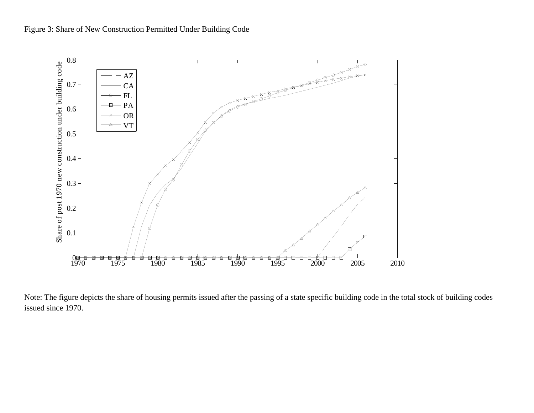



Note: The figure depicts the share of housing permits issued after the passing of a state specific building code in the total stock of building codes issued since 1970.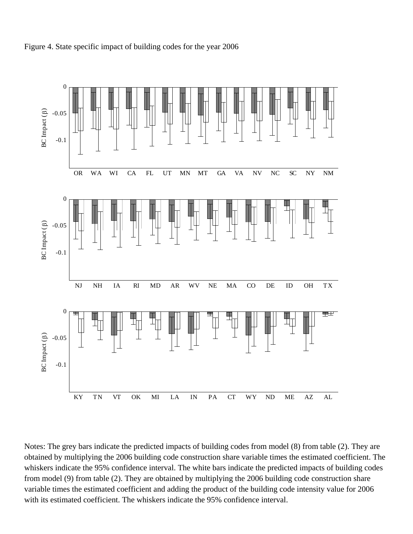



Notes: The grey bars indicate the predicted impacts of building codes from model (8) from table (2). They are obtained by multiplying the 2006 building code construction share variable times the estimated coefficient. The whiskers indicate the 95% confidence interval. The white bars indicate the predicted impacts of building codes from model (9) from table (2). They are obtained by multiplying the 2006 building code construction share variable times the estimated coefficient and adding the product of the building code intensity value for 2006 with its estimated coefficient. The whiskers indicate the 95% confidence interval.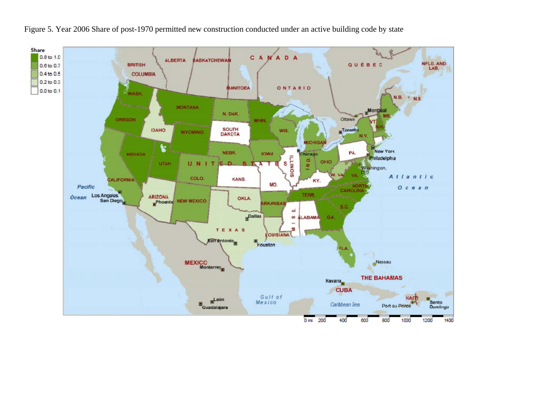

Figure 5. Year 2006 Share of post-1970 permitted new construction conducted under an active building code by state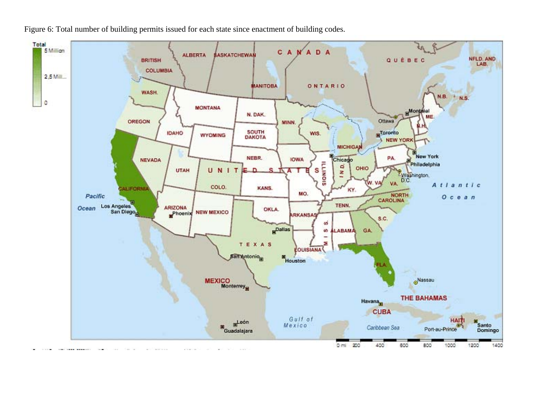Figure 6: Total number of building permits issued for each state since enactment of building codes.

![](_page_25_Figure_1.jpeg)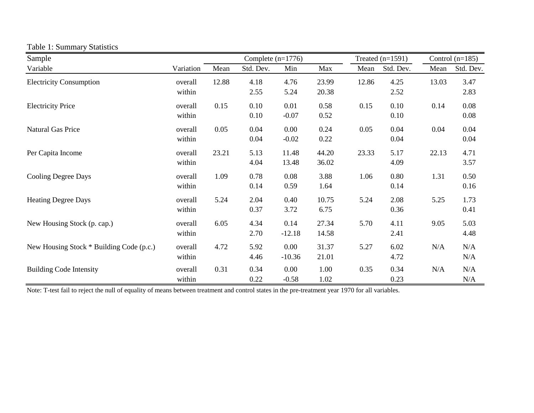| Sample                                   |                   |       | Complete $(n=1776)$ |                     |                |       | Treated $(n=1591)$ | Control $(n=185)$ |              |  |  |
|------------------------------------------|-------------------|-------|---------------------|---------------------|----------------|-------|--------------------|-------------------|--------------|--|--|
| Variable                                 | Variation         | Mean  | Std. Dev.           | Min                 | Max            | Mean  | Std. Dev.          | Mean              | Std. Dev.    |  |  |
| <b>Electricity Consumption</b>           | overall<br>within | 12.88 | 4.18<br>2.55        | 4.76<br>5.24        | 23.99<br>20.38 | 12.86 | 4.25<br>2.52       | 13.03             | 3.47<br>2.83 |  |  |
| <b>Electricity Price</b>                 | overall<br>within | 0.15  | 0.10<br>0.10        | 0.01<br>$-0.07$     | 0.58<br>0.52   | 0.15  | 0.10<br>0.10       | 0.14              | 0.08<br>0.08 |  |  |
| Natural Gas Price                        | overall<br>within | 0.05  | 0.04<br>0.04        | 0.00<br>$-0.02$     | 0.24<br>0.22   | 0.05  | 0.04<br>0.04       | 0.04              | 0.04<br>0.04 |  |  |
| Per Capita Income                        | overall<br>within | 23.21 | 5.13<br>4.04        | 11.48<br>13.48      | 44.20<br>36.02 | 23.33 | 5.17<br>4.09       | 22.13             | 4.71<br>3.57 |  |  |
| <b>Cooling Degree Days</b>               | overall<br>within | 1.09  | 0.78<br>0.14        | 0.08<br>0.59        | 3.88<br>1.64   | 1.06  | 0.80<br>0.14       | 1.31              | 0.50<br>0.16 |  |  |
| <b>Heating Degree Days</b>               | overall<br>within | 5.24  | 2.04<br>0.37        | 0.40<br>3.72        | 10.75<br>6.75  | 5.24  | 2.08<br>0.36       | 5.25              | 1.73<br>0.41 |  |  |
| New Housing Stock (p. cap.)              | overall<br>within | 6.05  | 4.34<br>2.70        | 0.14<br>$-12.18$    | 27.34<br>14.58 | 5.70  | 4.11<br>2.41       | 9.05              | 5.03<br>4.48 |  |  |
| New Housing Stock * Building Code (p.c.) | overall<br>within | 4.72  | 5.92<br>4.46        | 0.00<br>$-10.36$    | 31.37<br>21.01 | 5.27  | 6.02<br>4.72       | N/A               | N/A<br>N/A   |  |  |
| <b>Building Code Intensity</b>           | overall<br>within | 0.31  | 0.34<br>0.22        | $0.00\,$<br>$-0.58$ | 1.00<br>1.02   | 0.35  | 0.34<br>0.23       | N/A               | N/A<br>N/A   |  |  |

#### Table 1: Summary Statistics

Note: T-test fail to reject the null of equality of means between treatment and control states in the pre-treatment year 1970 for all variables.